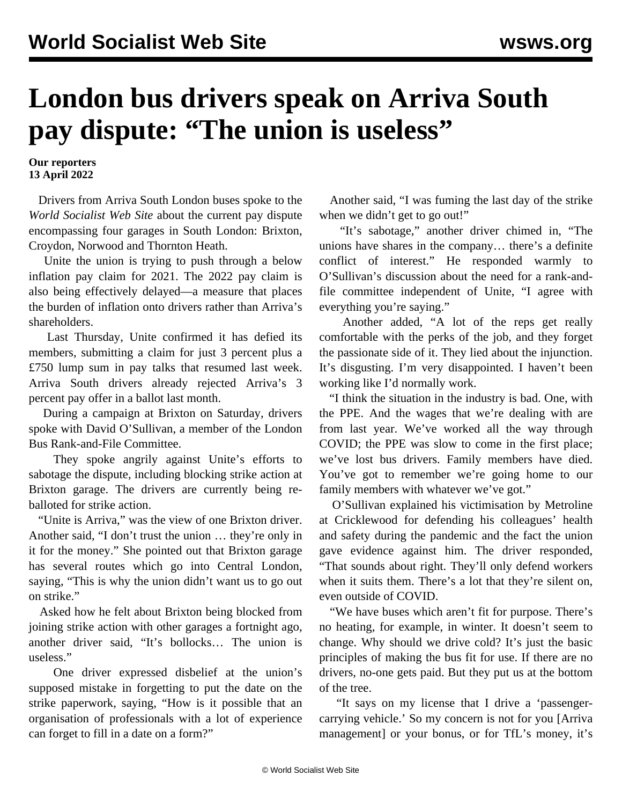## **London bus drivers speak on Arriva South pay dispute: "The union is useless"**

**Our reporters 13 April 2022**

 Drivers from Arriva South London buses spoke to the *World Socialist Web Site* about the current pay dispute encompassing four garages in South London: Brixton, Croydon, Norwood and Thornton Heath.

 Unite the union is trying to push through a below inflation pay claim for 2021. The 2022 pay claim is also being effectively delayed—a measure that places the burden of inflation onto drivers rather than Arriva's shareholders.

 Last Thursday, Unite confirmed it has defied its members, submitting a claim for just 3 percent plus a £750 lump sum in pay talks that resumed last week. Arriva South drivers already rejected Arriva's 3 percent pay offer in a ballot last month.

 During a campaign at Brixton on Saturday, drivers spoke with David O'Sullivan, a member of the London Bus Rank-and-File Committee.

 They spoke angrily against Unite's efforts to sabotage the dispute, including blocking strike action at Brixton garage. The drivers are currently being reballoted for strike action.

 "Unite is Arriva," was the view of one Brixton driver. Another said, "I don't trust the union … they're only in it for the money." She pointed out that Brixton garage has several routes which go into Central London, saying, "This is why the union didn't want us to go out on strike."

 Asked how he felt about Brixton being blocked from joining strike action with other garages a fortnight ago, another driver said, "It's bollocks… The union is useless."

 One driver expressed disbelief at the union's supposed mistake in forgetting to put the date on the strike paperwork, saying, "How is it possible that an organisation of professionals with a lot of experience can forget to fill in a date on a form?"

 Another said, "I was fuming the last day of the strike when we didn't get to go out!"

 "It's sabotage," another driver chimed in, "The unions have shares in the company… there's a definite conflict of interest." He responded warmly to O'Sullivan's discussion about the need for a rank-andfile committee independent of Unite, "I agree with everything you're saying."

 Another added, "A lot of the reps get really comfortable with the perks of the job, and they forget the passionate side of it. They lied about the injunction. It's disgusting. I'm very disappointed. I haven't been working like I'd normally work.

 "I think the situation in the industry is bad. One, with the PPE. And the wages that we're dealing with are from last year. We've worked all the way through COVID; the PPE was slow to come in the first place; we've lost bus drivers. Family members have died. You've got to remember we're going home to our family members with whatever we've got."

 O'Sullivan explained his victimisation by Metroline at Cricklewood for defending his colleagues' health and safety during the pandemic and the fact the union gave evidence against him. The driver responded, "That sounds about right. They'll only defend workers when it suits them. There's a lot that they're silent on, even outside of COVID.

 "We have buses which aren't fit for purpose. There's no heating, for example, in winter. It doesn't seem to change. Why should we drive cold? It's just the basic principles of making the bus fit for use. If there are no drivers, no-one gets paid. But they put us at the bottom of the tree.

 "It says on my license that I drive a 'passengercarrying vehicle.' So my concern is not for you [Arriva management] or your bonus, or for TfL's money, it's